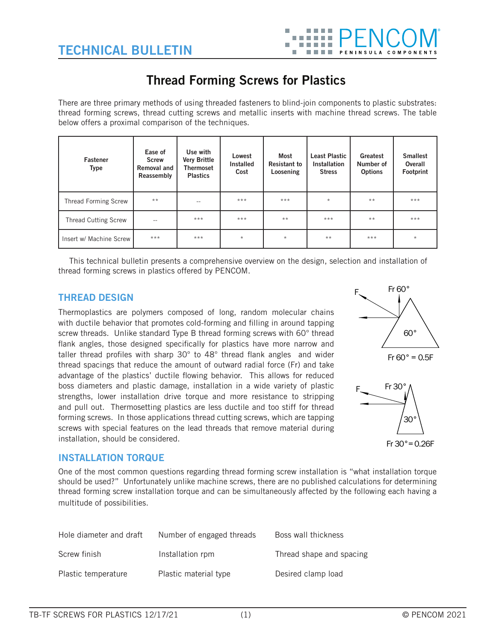

# **Thread Forming Screws for Plastics**

There are three primary methods of using threaded fasteners to blind-join components to plastic substrates: thread forming screws, thread cutting screws and metallic inserts with machine thread screws. The table below offers a proximal comparison of the techniques.

| <b>Fastener</b><br><b>Type</b> | Ease of<br><b>Screw</b><br><b>Removal and</b><br>Reassembly | Use with<br><b>Very Brittle</b><br>Thermoset<br><b>Plastics</b> | Lowest<br><b>Installed</b><br>Cost | Most<br><b>Resistant to</b><br>Loosening | <b>Least Plastic</b><br>Installation<br><b>Stress</b> | Greatest<br>Number of<br><b>Options</b> | <b>Smallest</b><br>Overall<br>Footprint |
|--------------------------------|-------------------------------------------------------------|-----------------------------------------------------------------|------------------------------------|------------------------------------------|-------------------------------------------------------|-----------------------------------------|-----------------------------------------|
| <b>Thread Forming Screw</b>    | $**$                                                        |                                                                 | ***                                | ***                                      | $\star$                                               | $**$                                    | ***                                     |
| <b>Thread Cutting Screw</b>    | --                                                          | ***                                                             | ***                                | $**$                                     | $***$                                                 | $**$                                    | ***                                     |
| Insert w/ Machine Screw        | ***                                                         | ***                                                             | $\star$                            | $\star$                                  | $* *$                                                 | ***                                     | $\star$                                 |

This technical bulletin presents a comprehensive overview on the design, selection and installation of thread forming screws in plastics offered by PENCOM.

# **THREAD DESIGN**

Thermoplastics are polymers composed of long, random molecular chains with ductile behavior that promotes cold-forming and filling in around tapping screw threads. Unlike standard Type B thread forming screws with 60° thread flank angles, those designed specifically for plastics have more narrow and taller thread profiles with sharp 30° to 48° thread flank angles and wider thread spacings that reduce the amount of outward radial force (Fr) and take advantage of the plastics' ductile flowing behavior. This allows for reduced boss diameters and plastic damage, installation in a wide variety of plastic strengths, lower installation drive torque and more resistance to stripping and pull out. Thermosetting plastics are less ductile and too stiff for thread forming screws. In those applications thread cutting screws, which are tapping screws with special features on the lead threads that remove material during installation, should be considered.





# **INSTALLATION TORQUE**

One of the most common questions regarding thread forming screw installation is "what installation torque should be used?" Unfortunately unlike machine screws, there are no published calculations for determining thread forming screw installation torque and can be simultaneously affected by the following each having a multitude of possibilities.

| Hole diameter and draft | Number of engaged threads | Boss wall thickness      |
|-------------------------|---------------------------|--------------------------|
| Screw finish            | Installation rpm          | Thread shape and spacing |
| Plastic temperature     | Plastic material type     | Desired clamp load       |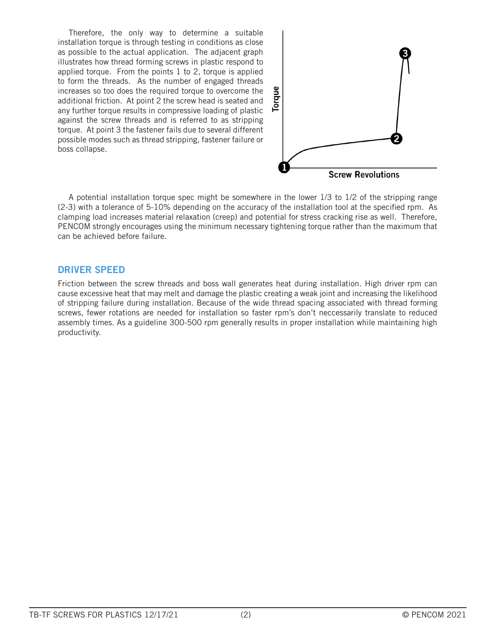Therefore, the only way to determine a suitable installation torque is through testing in conditions as close as possible to the actual application. The adjacent graph illustrates how thread forming screws in plastic respond to applied torque. From the points 1 to 2, torque is applied to form the threads. As the number of engaged threads increases so too does the required torque to overcome the additional friction. At point 2 the screw head is seated and any further torque results in compressive loading of plastic against the screw threads and is referred to as stripping torque. At point 3 the fastener fails due to several different possible modes such as thread stripping, fastener failure or boss collapse.



A potential installation torque spec might be somewhere in the lower 1/3 to 1/2 of the stripping range (2-3) with a tolerance of 5-10% depending on the accuracy of the installation tool at the specified rpm. As clamping load increases material relaxation (creep) and potential for stress cracking rise as well. Therefore, PENCOM strongly encourages using the minimum necessary tightening torque rather than the maximum that can be achieved before failure.

# **DRIVER SPEED**

Friction between the screw threads and boss wall generates heat during installation. High driver rpm can cause excessive heat that may melt and damage the plastic creating a weak joint and increasing the likelihood of stripping failure during installation. Because of the wide thread spacing associated with thread forming screws, fewer rotations are needed for installation so faster rpm's don't neccessarily translate to reduced assembly times. As a guideline 300-500 rpm generally results in proper installation while maintaining high productivity.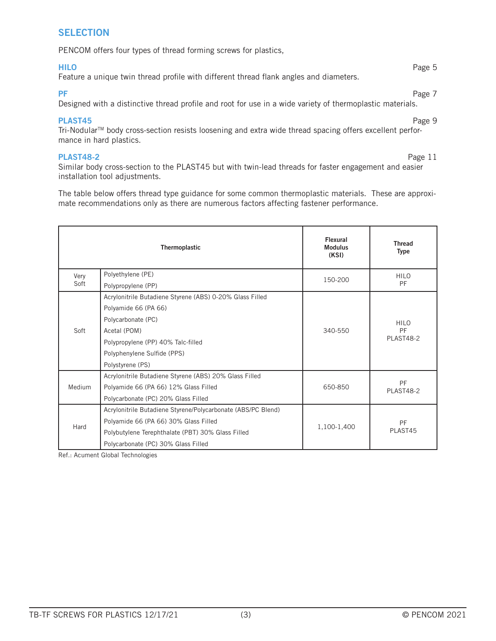#### **SELECTION**

PENCOM offers four types of thread forming screws for plastics,

#### **HILO** Page 5

Feature a unique twin thread profile with different thread flank angles and diameters.

**PF** Page 7 **Page 7** 

Designed with a distinctive thread profile and root for use in a wide variety of thermoplastic materials.

#### **PLAST45** Page 9

Tri-Nodular<sup>™</sup> body cross-section resists loosening and extra wide thread spacing offers excellent performance in hard plastics.

#### **PLAST48-2** Page 11

Similar body cross-section to the PLAST45 but with twin-lead threads for faster engagement and easier installation tool adjustments.

The table below offers thread type guidance for some common thermoplastic materials. These are approximate recommendations only as there are numerous factors affecting fastener performance.

|        | Thermoplastic                                                | Flexural<br><b>Modulus</b><br>(KSI) | <b>Thread</b><br><b>Type</b>   |  |
|--------|--------------------------------------------------------------|-------------------------------------|--------------------------------|--|
| Very   | Polyethylene (PE)                                            | 150-200                             | <b>HILO</b>                    |  |
| Soft   | Polypropylene (PP)                                           |                                     | PF                             |  |
|        | Acrylonitrile Butadiene Styrene (ABS) 0-20% Glass Filled     |                                     |                                |  |
|        | Polyamide 66 (PA 66)                                         |                                     |                                |  |
|        | Polycarbonate (PC)                                           |                                     | <b>HILO</b><br>PF<br>PLAST48-2 |  |
| Soft   | Acetal (POM)                                                 | 340-550                             |                                |  |
|        | Polypropylene (PP) 40% Talc-filled                           |                                     |                                |  |
|        | Polyphenylene Sulfide (PPS)                                  |                                     |                                |  |
|        | Polystyrene (PS)                                             |                                     |                                |  |
|        | Acrylonitrile Butadiene Styrene (ABS) 20% Glass Filled       |                                     |                                |  |
| Medium | Polyamide 66 (PA 66) 12% Glass Filled                        | 650-850                             | PF<br>PLAST48-2                |  |
|        | Polycarbonate (PC) 20% Glass Filled                          |                                     |                                |  |
|        | Acrylonitrile Butadiene Styrene/Polycarbonate (ABS/PC Blend) |                                     |                                |  |
| Hard   | Polyamide 66 (PA 66) 30% Glass Filled                        |                                     | PF                             |  |
|        | Polybutylene Terephthalate (PBT) 30% Glass Filled            | 1,100-1,400                         | PLAST45                        |  |
|        | Polycarbonate (PC) 30% Glass Filled                          |                                     |                                |  |

Ref.: Acument Global Technologies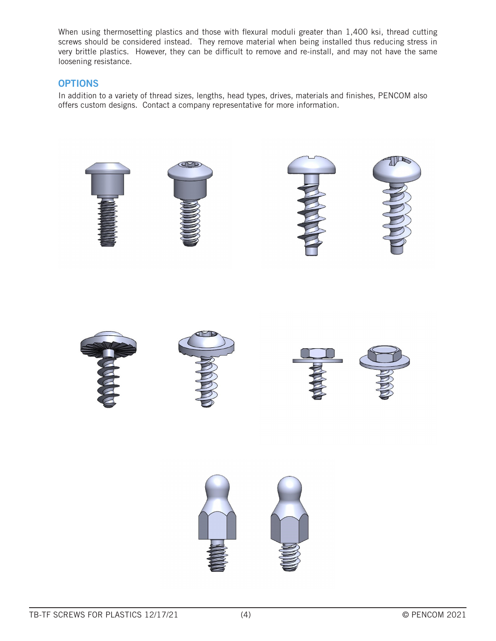When using thermosetting plastics and those with flexural moduli greater than 1,400 ksi, thread cutting screws should be considered instead. They remove material when being installed thus reducing stress in very brittle plastics. However, they can be difficult to remove and re-install, and may not have the same loosening resistance.

# **OPTIONS**

In addition to a variety of thread sizes, lengths, head types, drives, materials and finishes, PENCOM also offers custom designs. Contact a company representative for more information.

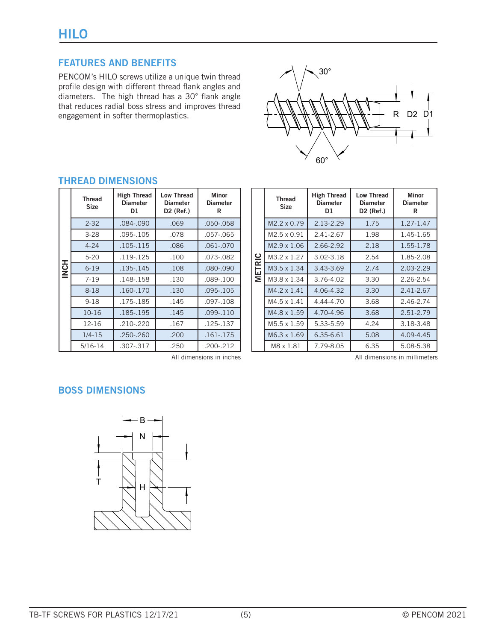PENCOM's HILO screws utilize a unique twin thread profile design with different thread flank angles and diameters. The high thread has a 30° flank angle that reduces radial boss stress and improves thread engagement in softer thermoplastics.



|             | <b>Thread</b><br><b>Size</b> | <b>High Thread</b><br><b>Diameter</b><br>D1 | <b>Low Thread</b><br><b>Diameter</b><br>D2 (Ref.) | <b>Minor</b><br><b>Diameter</b><br>R |
|-------------|------------------------------|---------------------------------------------|---------------------------------------------------|--------------------------------------|
|             | $2 - 32$                     | .084-.090                                   | .069                                              | $.050 - .058$                        |
|             | $3-28$                       | $.095 - .105$                               | .078                                              | $.057 - .065$                        |
|             | $4 - 24$                     | .105-.115                                   | .086                                              | $.061 - .070$                        |
|             | $5 - 20$                     | .119-.125                                   | .100                                              | .073-.082                            |
| <b>HONE</b> | $6 - 19$                     | .135-.145                                   | .108                                              | .080-.090                            |
|             | $7 - 19$                     | $.148 - .158$                               | .130                                              | .089-.100                            |
|             | $8 - 18$                     | .160-.170                                   | .130                                              | .095-.105                            |
|             | $9 - 18$                     | .175-.185                                   | .145                                              | $.097 - .108$                        |
|             | $10 - 16$                    | .185-.195                                   | .145                                              | $.099 - .110$                        |
|             | 12-16                        | .210-.220                                   | .167                                              | .125-.137                            |
|             | $1/4 - 15$                   | .250-.260                                   | .200                                              | $.161 - .175$                        |
|             | $5/16 - 14$                  | .307-.317                                   | .250                                              | .200-.212                            |

# **THREAD DIMENSIONS**

|               | <b>Thread</b><br><b>Size</b> | <b>High Thread</b><br><b>Diameter</b><br>D1 | <b>Low Thread</b><br><b>Diameter</b><br>D2 (Ref.) | <b>Minor</b><br><b>Diameter</b><br>R |
|---------------|------------------------------|---------------------------------------------|---------------------------------------------------|--------------------------------------|
|               | M2.2 x 0.79                  | 2.13-2.29                                   | 1.75                                              | $1.27 - 1.47$                        |
|               | M2.5 x 0.91                  | 2.41-2.67                                   | 1.98                                              | 1.45-1.65                            |
|               | M2.9 x 1.06                  | 2.66-2.92                                   | 2.18                                              | 1.55-1.78                            |
|               | M3.2 x 1.27                  | 3.02-3.18                                   | 2.54                                              | 1.85-2.08                            |
| <b>METRIC</b> | M3.5 x 1.34                  | 3.43-3.69                                   | 2.74                                              | $2.03 - 2.29$                        |
|               | M3.8 x 1.34                  | 3.76-4.02                                   | 3.30                                              | 2.26-2.54                            |
|               | M4.2 x 1.41                  | 4.06-4.32                                   | 3.30                                              | 2.41-2.67                            |
|               | M4.5 x 1.41                  | 4.44-4.70                                   | 3.68                                              | 2.46-2.74                            |
|               | M4.8 x 1.59                  | 4.70-4.96                                   | 3.68                                              | 2.51-2.79                            |
|               | M5.5 x 1.59                  | 5.33-5.59                                   | 4.24                                              | 3.18-3.48                            |
|               | M6.3 x 1.69                  | 6.35-6.61                                   | 5.08                                              | 4.09-4.45                            |
|               | M8 x 1.81                    | 7.79-8.05                                   | 6.35                                              | 5.08-5.38                            |

All dimensions in inches and all dimensions in millimeters

# **BOSS DIMENSIONS**

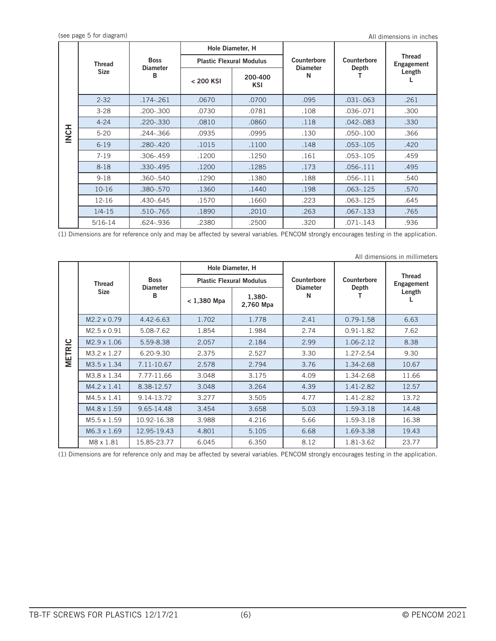|             |               |                      | Hole Diameter, H |                                 |                      |               |                             |
|-------------|---------------|----------------------|------------------|---------------------------------|----------------------|---------------|-----------------------------|
|             | <b>Thread</b> | <b>Boss</b>          |                  | <b>Plastic Flexural Modulus</b> | Counterbore          | Counterbore   | <b>Thread</b><br>Engagement |
|             | <b>Size</b>   | <b>Diameter</b><br>в | $< 200$ KSI      | 200-400<br>KSI                  | <b>Diameter</b><br>N | Depth         | Length                      |
|             | $2 - 32$      | .174-.261            | .0670            | .0700                           | .095                 | $.031 - .063$ | .261                        |
|             | $3 - 28$      | .200-.300            | .0730            | .0781                           | .108                 | .036-.071     | .300                        |
|             | $4 - 24$      | .220-.330            | .0810            | .0860                           | .118                 | $.042 - .083$ | .330                        |
| <b>HONI</b> | $5 - 20$      | .244-.366            | .0935            | .0995                           | .130                 | .050-.100     | .366                        |
|             | $6 - 19$      | .280-.420            | .1015            | .1100                           | .148                 | $.053 - .105$ | .420                        |
|             | $7 - 19$      | .306-.459            | .1200            | .1250                           | .161                 | .053-.105     | .459                        |
|             | $8 - 18$      | .330-.495            | .1200            | .1285                           | .173                 | .056-.111     | .495                        |
|             | $9 - 18$      | .360-.540            | .1290            | .1380                           | .188                 | $.056 - .111$ | .540                        |
|             | $10 - 16$     | .380-.570            | .1360            | .1440                           | .198                 | .063-.125     | .570                        |
|             | $12 - 16$     | .430-.645            | .1570            | .1660                           | .223                 | $.063 - .125$ | .645                        |
|             | $1/4 - 15$    | .510-.765            | .1890            | .2010                           | .263                 | .067-.133     | .765                        |
|             | $5/16 - 14$   | .624-.936            | .2380            | .2500                           | .320                 | .071-.143     | .936                        |

(1) Dimensions are for reference only and may be affected by several variables. PENCOM strongly encourages testing in the application.

|               | All dimensions in millimeters |                                |               |                                 |                                     |               |                             |  |  |  |  |
|---------------|-------------------------------|--------------------------------|---------------|---------------------------------|-------------------------------------|---------------|-----------------------------|--|--|--|--|
|               |                               | Hole Diameter, H               |               |                                 |                                     |               |                             |  |  |  |  |
|               | <b>Thread</b>                 | <b>Boss</b><br><b>Diameter</b> |               | <b>Plastic Flexural Modulus</b> | Counterbore<br><b>Diameter</b><br>N | Counterbore   | <b>Thread</b><br>Engagement |  |  |  |  |
|               | <b>Size</b>                   | в                              | $< 1,380$ Mpa | 1,380-<br>2,760 Mpa             |                                     | Depth         | Length                      |  |  |  |  |
|               | M2.2 x 0.79                   | 4.42-6.63                      | 1.702         | 1.778                           | 2.41                                | $0.79 - 1.58$ | 6.63                        |  |  |  |  |
|               | M2.5 x 0.91                   | 5.08-7.62                      | 1.854         | 1.984                           | 2.74                                | $0.91 - 1.82$ | 7.62                        |  |  |  |  |
|               | M2.9 x 1.06                   | 5.59-8.38                      | 2.057         | 2.184                           | 2.99                                | 1.06-2.12     | 8.38                        |  |  |  |  |
| <b>METRIC</b> | M3.2 x 1.27                   | 6.20-9.30                      | 2.375         | 2.527                           | 3.30                                | 1.27-2.54     | 9.30                        |  |  |  |  |
|               | M3.5 x 1.34                   | 7.11-10.67                     | 2.578         | 2.794                           | 3.76                                | 1.34-2.68     | 10.67                       |  |  |  |  |
|               | M3.8 x 1.34                   | 7.77-11.66                     | 3.048         | 3.175                           | 4.09                                | 1.34-2.68     | 11.66                       |  |  |  |  |
|               | M4.2 x 1.41                   | 8.38-12.57                     | 3.048         | 3.264                           | 4.39                                | 1.41-2.82     | 12.57                       |  |  |  |  |
|               | M4.5 x 1.41                   | 9.14-13.72                     | 3.277         | 3.505                           | 4.77                                | 1.41-2.82     | 13.72                       |  |  |  |  |
|               | M4.8 x 1.59                   | 9.65-14.48                     | 3.454         | 3.658                           | 5.03                                | 1.59-3.18     | 14.48                       |  |  |  |  |
|               | M5.5 x 1.59                   | 10.92-16.38                    | 3.988         | 4.216                           | 5.66                                | 1.59-3.18     | 16.38                       |  |  |  |  |
|               | M6.3 x 1.69                   | 12.95-19.43                    | 4.801         | 5.105                           | 6.68                                | 1.69-3.38     | 19.43                       |  |  |  |  |
|               | M8 x 1.81                     | 15.85-23.77                    | 6.045         | 6.350                           | 8.12                                | 1.81-3.62     | 23.77                       |  |  |  |  |

(1) Dimensions are for reference only and may be affected by several variables. PENCOM strongly encourages testing in the application.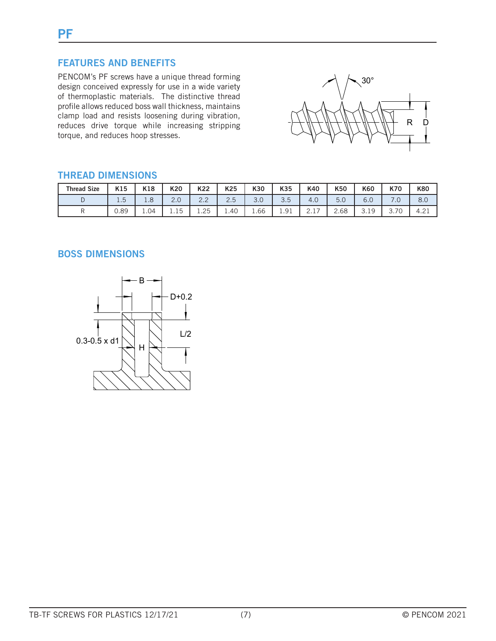PENCOM's PF screws have a unique thread forming design conceived expressly for use in a wide variety of thermoplastic materials. The distinctive thread profile allows reduced boss wall thickness, maintains clamp load and resists loosening during vibration, reduces drive torque while increasing stripping torque, and reduces hoop stresses.



# **THREAD DIMENSIONS**

| <b>Thread Size</b> | K15                  | K18  | K20               | K22             | K25    | K30             | K35                           | K40          | K50  | K60                  | K70        | <b>K80</b>                                               |
|--------------------|----------------------|------|-------------------|-----------------|--------|-----------------|-------------------------------|--------------|------|----------------------|------------|----------------------------------------------------------|
|                    | $\sim$<br><b>1.J</b> | 1.8  | $\cap$<br>Z.U     | $\sim$<br>ے . ت | $\sim$ | $\Omega$<br>J.U | ن. ب                          | 4.0          | 5.0  | 6.0                  | . 0        | 8.0                                                      |
|                    | 0.89                 | 1.04 | 一片<br><b>1.1J</b> | 1.25            | 1.40   | 1.66            | Q <sub>1</sub><br><b>1.JI</b> | <u>_ . _</u> | 2.68 | $\alpha$<br>◡.⊥<br>ັ | 70<br>J./U | $\cap$ <sup>-</sup><br>$\lambda$ . $\lambda$ . $\lambda$ |

# **BOSS DIMENSIONS**

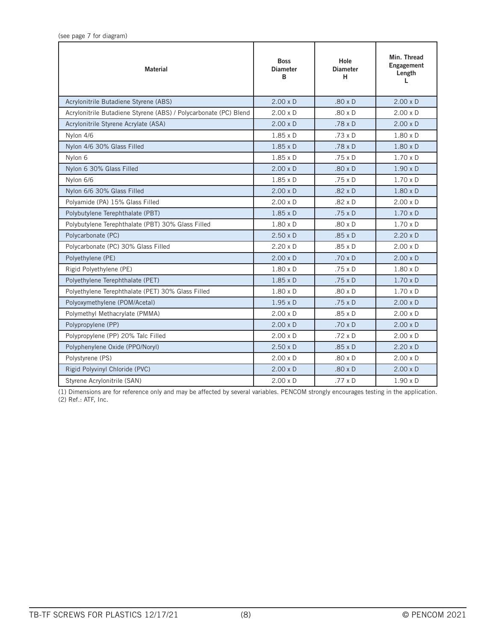| <b>Material</b>                                                  | <b>Boss</b><br><b>Diameter</b><br>B | Hole<br><b>Diameter</b><br>н | Min. Thread<br>Engagement<br>Length<br>L |
|------------------------------------------------------------------|-------------------------------------|------------------------------|------------------------------------------|
| Acrylonitrile Butadiene Styrene (ABS)                            | $2.00 \times D$                     | $.80 \times D$               | $2.00 \times D$                          |
| Acrylonitrile Butadiene Styrene (ABS) / Polycarbonate (PC) Blend | $2.00 \times D$                     | $.80 \times D$               | $2.00 \times D$                          |
| Acrylonitrile Styrene Acrylate (ASA)                             | $2.00 \times D$                     | $.78 \times D$               | $2.00 \times D$                          |
| Nylon 4/6                                                        | $1.85 \times D$                     | .73 x D                      | $1.80 \times D$                          |
| Nylon 4/6 30% Glass Filled                                       | $1.85 \times D$                     | $.78 \times D$               | $1.80 \times D$                          |
| Nylon 6                                                          | $1.85 \times D$                     | $.75 \times D$               | $1.70 \times D$                          |
| Nylon 6 30% Glass Filled                                         | $2.00 \times D$                     | $.80 \times D$               | $1.90 \times D$                          |
| Nylon 6/6                                                        | $1.85 \times D$                     | .75 x D                      | $1.70 \times D$                          |
| Nylon 6/6 30% Glass Filled                                       | $2.00 \times D$                     | $.82 \times D$               | $1.80 \times D$                          |
| Polyamide (PA) 15% Glass Filled                                  | $2.00 \times D$                     | $.82 \times D$               | $2.00 \times D$                          |
| Polybutylene Terephthalate (PBT)                                 | $1.85 \times D$                     | $.75 \times D$               | $1.70 \times D$                          |
| Polybutylene Terephthalate (PBT) 30% Glass Filled                | $1.80 \times D$                     | $.80 \times D$               | $1.70 \times D$                          |
| Polycarbonate (PC)                                               | $2.50 \times D$                     | $.85 \times D$               | $2.20 \times D$                          |
| Polycarbonate (PC) 30% Glass Filled                              | $2.20 \times D$                     | $.85 \times D$               | $2.00 \times D$                          |
| Polyethylene (PE)                                                | $2.00 \times D$                     | $.70 \times D$               | $2.00 \times D$                          |
| Rigid Polyethylene (PE)                                          | $1.80 \times D$                     | .75 x D                      | $1.80 \times D$                          |
| Polyethylene Terephthalate (PET)                                 | $1.85 \times D$                     | $.75 \times D$               | $1.70 \times D$                          |
| Polyethylene Terephthalate (PET) 30% Glass Filled                | $1.80 \times D$                     | $.80 \times D$               | $1.70 \times D$                          |
| Polyoxymethylene (POM/Acetal)                                    | $1.95 \times D$                     | $.75 \times D$               | $2.00 \times D$                          |
| Polymethyl Methacrylate (PMMA)                                   | $2.00 \times D$                     | $.85 \times D$               | $2.00 \times D$                          |
| Polypropylene (PP)                                               | $2.00 \times D$                     | .70 x D                      | $2.00 \times D$                          |
| Polypropylene (PP) 20% Talc Filled                               | $2.00 \times D$                     | $.72 \times D$               | $2.00 \times D$                          |
| Polyphenylene Oxide (PPO/Noryl)                                  | $2.50 \times D$                     | .85 x D                      | $2.20 \times D$                          |
| Polystyrene (PS)                                                 | $2.00 \times D$                     | $.80 \times D$               | $2.00 \times D$                          |
| Rigid Polyvinyl Chloride (PVC)                                   | $2.00 \times D$                     | $.80 \times D$               | $2.00 \times D$                          |
| Styrene Acrylonitrile (SAN)                                      | $2.00 \times D$                     | .77 x D                      | $1.90 \times D$                          |

(1) Dimensions are for reference only and may be affected by several variables. PENCOM strongly encourages testing in the application. (2) Ref.: ATF, Inc.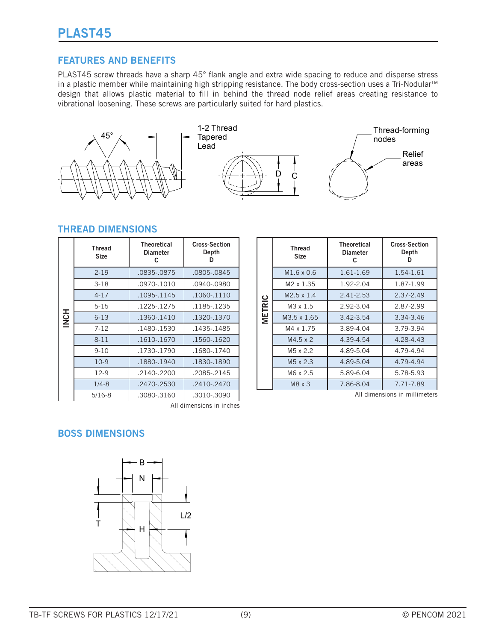PLAST45 screw threads have a sharp 45° flank angle and extra wide spacing to reduce and disperse stress in a plastic member while maintaining high stripping resistance. The body cross-section uses a Tri-Nodular™ design that allows plastic material to fill in behind the thread node relief areas creating resistance to vibrational loosening. These screws are particularly suited for hard plastics.



#### **THREAD DIMENSIONS**

|             | <b>Thread</b><br><b>Size</b> | <b>Theoretical</b><br><b>Diameter</b><br>C | <b>Cross-Section</b><br>Depth |
|-------------|------------------------------|--------------------------------------------|-------------------------------|
|             | $2 - 19$                     | .0835-.0875                                | .0805-.0845                   |
|             | $3-18$                       | .0970-.1010                                | .0940-.0980                   |
|             | $4 - 17$                     | .1095-.1145                                | .1060-.1110                   |
|             | $5 - 15$                     | .1225-1275                                 | .1185-.1235                   |
| <b>INCH</b> | $6 - 13$                     | .1360-.1410                                | .1320-.1370                   |
|             | $7 - 12$                     | .1480-.1530                                | .1435-1485                    |
|             | $8 - 11$                     | .1610-.1670                                | .1560-.1620                   |
|             | $9 - 10$                     | .1730-.1790                                | .1680-.1740                   |
|             | $10-9$                       | .1880-.1940                                | .1830-.1890                   |
|             | $12-9$                       | $.2140 - .2200$                            | .2085-.2145                   |
|             | $1/4 - 8$                    | $.2470 - .2530$                            | $.2410 - .2470$               |
|             | $5/16 - 8$                   | .3080-.3160                                | .3010-.3090                   |

|               | <b>Thread</b><br><b>Size</b> | <b>Theoretical</b><br><b>Diameter</b><br>c | <b>Cross-Section</b><br>Depth |  |
|---------------|------------------------------|--------------------------------------------|-------------------------------|--|
|               | $M1.6 \times 0.6$            | 1.61-1.69                                  | 1.54-1.61                     |  |
|               | M2 x 1.35                    | 1.92-2.04                                  | 1.87-1.99                     |  |
|               | $M2.5 \times 1.4$            | $2.41 - 2.53$                              | 2.37-2.49                     |  |
| <b>METRIC</b> | $M3 \times 1.5$              | 2.92-3.04                                  | 2.87-2.99                     |  |
|               | $M3.5 \times 1.65$           | 3.42-3.54                                  | 3.34-3.46                     |  |
|               | M4 x 1.75                    | 3.89-4.04                                  | 3.79-3.94                     |  |
|               | $M4.5 \times 2$              | 4.39-4.54                                  | 4.28-4.43                     |  |
|               | M <sub>5</sub> x 2.2         | 4.89-5.04                                  | 4.79-4.94                     |  |
|               | M <sub>5</sub> x 2.3         | 4.89-5.04                                  | 4.79-4.94                     |  |
|               | M6 x 2.5                     | 5.89-6.04                                  | 5.78-5.93                     |  |
|               | $M8 \times 3$                | 7.86-8.04                                  | 7.71-7.89                     |  |
|               |                              |                                            | All dimensions in millimeters |  |

All dimensions in inches

# **BOSS DIMENSIONS**



TB-TF SCREWS FOR PLASTICS 12/17/21 (9) (9) C PENCOM 2021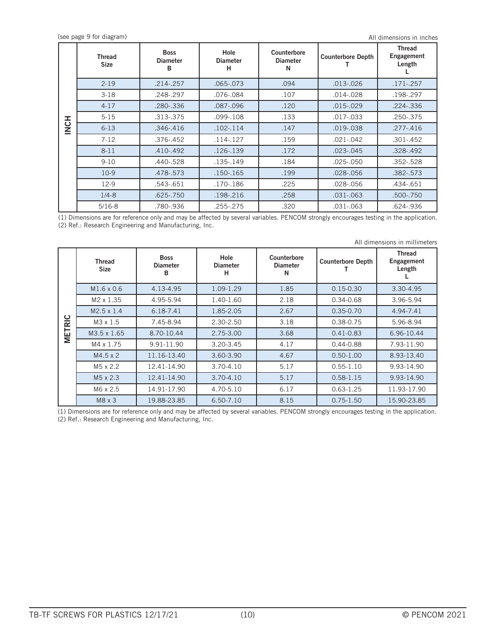All dimensions in inches

|                  | <b>Thread</b><br><b>Size</b> | <b>Boss</b><br><b>Diameter</b><br>в | Hole<br><b>Diameter</b><br>н | Counterbore<br><b>Diameter</b><br>N | <b>Counterbore Depth</b> | <b>Thread</b><br>Engagement<br>Length |
|------------------|------------------------------|-------------------------------------|------------------------------|-------------------------------------|--------------------------|---------------------------------------|
|                  | $2 - 19$                     | $.214 - .257$                       | .065-.073                    | .094                                | $.013 - .026$            | $.171 - .257$                         |
|                  | $3-18$                       | .248-.297                           | .076-.084                    | .107                                | $.014 - .028$            | .198-.297                             |
|                  | $4 - 17$                     | .280-.336                           | .087-.096                    | .120                                | $.015 - .029$            | $.224 - .336$                         |
|                  | $5 - 15$                     | .313-.375                           | .099-.108                    | .133                                | $.017 - .033$            | .250-.375                             |
| H <sub>2</sub> N | $6 - 13$                     | $.346 - .416$                       | $.102 - .114$                | .147                                | $.019 - .038$            | $.277 - .416$                         |
|                  | $7 - 12$                     | .376-.452                           | $.114 - .127$                | .159                                | .021-.042                | $.301 - .452$                         |
|                  | $8 - 11$                     | $.410 - .492$                       | .126-.139                    | .172                                | $.023 - .045$            | $.328 - .492$                         |
|                  | $9 - 10$                     | .440-.528                           | .135-.149                    | .184                                | .025-.050                | .352-.528                             |
|                  | $10-9$                       | .478-.573                           | $.150 - .165$                | .199                                | $.028 - .056$            | $.382 - .573$                         |
|                  | $12-9$                       | .543-.651                           | .170-.186                    | .225                                | .028-.056                | .434-.651                             |
|                  | $1/4 - 8$                    | $.625 - .750$                       | .198-.216                    | .258                                | $.031 - .063$            | .500-.750                             |
|                  | $5/16 - 8$                   | .780-.936                           | .255-.275                    | .320                                | .031-.063                | .624-.936                             |

(1) Dimensions are for reference only and may be affected by several variables. PENCOM strongly encourages testing in the application. (2) Ref.: Research Engineering and Manufacturing, Inc.

|               | All dimensions in millimeters |                                     |                              |                                     |                          |                                       |  |  |
|---------------|-------------------------------|-------------------------------------|------------------------------|-------------------------------------|--------------------------|---------------------------------------|--|--|
| <b>METRIC</b> | Thread<br><b>Size</b>         | <b>Boss</b><br><b>Diameter</b><br>в | Hole<br><b>Diameter</b><br>н | Counterbore<br><b>Diameter</b><br>N | <b>Counterbore Depth</b> | <b>Thread</b><br>Engagement<br>Length |  |  |
|               | M1.6 x 0.6                    | 4.13-4.95                           | 1.09-1.29                    | 1.85                                | $0.15 - 0.30$            | 3.30-4.95                             |  |  |
|               | M2 x 1.35                     | 4.95-5.94                           | 1.40-1.60                    | 2.18                                | $0.34 - 0.68$            | 3.96-5.94                             |  |  |
|               | $M2.5 \times 1.4$             | 6.18-7.41                           | 1.85-2.05                    | 2.67                                | $0.35 - 0.70$            | 4.94-7.41                             |  |  |
|               | M3 x 1.5                      | 7.45-8.94                           | 2.30-2.50                    | 3.18                                | 0.38-0.75                | 5.96-8.94                             |  |  |
|               | M3.5 x 1.65                   | 8.70-10.44                          | 2.75-3.00                    | 3.68                                | $0.41 - 0.83$            | 6.96-10.44                            |  |  |
|               | M4 x 1.75                     | 9.91-11.90                          | 3.20-3.45                    | 4.17                                | $0.44 - 0.88$            | 7.93-11.90                            |  |  |
|               | $M4.5 \times 2$               | 11.16-13.40                         | 3.60-3.90                    | 4.67                                | $0.50 - 1.00$            | 8.93-13.40                            |  |  |
|               | M <sub>5</sub> x 2.2          | 12.41-14.90                         | 3.70-4.10                    | 5.17                                | $0.55 - 1.10$            | 9.93-14.90                            |  |  |
|               | M <sub>5</sub> x 2.3          | 12.41-14.90                         | $3.70 - 4.10$                | 5.17                                | $0.58 - 1.15$            | 9.93-14.90                            |  |  |
|               | M6 x 2.5                      | 14.91-17.90                         | 4.70-5.10                    | 6.17                                | $0.63 - 1.25$            | 11.93-17.90                           |  |  |
|               | M8 x 3                        | 19.88-23.85                         | 6.50-7.10                    | 8.15                                | $0.75 - 1.50$            | 15.90-23.85                           |  |  |

(1) Dimensions are for reference only and may be affected by several variables. PENCOM strongly encourages testing in the application. (2) Ref.: Research Engineering and Manufacturing, Inc.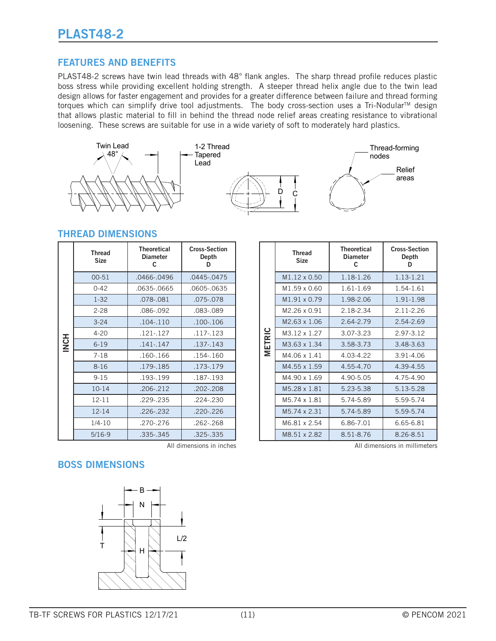PLAST48-2 screws have twin lead threads with 48° flank angles. The sharp thread profile reduces plastic boss stress while providing excellent holding strength. A steeper thread helix angle due to the twin lead design allows for faster engagement and provides for a greater difference between failure and thread forming torques which can simplify drive tool adjustments. The body cross-section uses a Tri-Nodular™ design that allows plastic material to fill in behind the thread node relief areas creating resistance to vibrational loosening. These screws are suitable for use in a wide variety of soft to moderately hard plastics.



#### **THREAD DIMENSIONS**

|             | <b>Thread</b><br><b>Size</b> | Theoretical<br><b>Diameter</b><br>C | <b>Cross-Section</b><br>Depth<br>D |  |
|-------------|------------------------------|-------------------------------------|------------------------------------|--|
|             | $00 - 51$                    | .0466-.0496                         |                                    |  |
|             | $0 - 42$                     | .0635-.0665                         | .0605-.0635                        |  |
|             | $1 - 32$                     | .078-.081                           | .075-.078                          |  |
|             | $2 - 28$                     | .086-.092                           | .083-.089                          |  |
|             | $3 - 24$                     | $.104 - .110$                       | .100-.106                          |  |
|             | $4 - 20$                     | $.121 - .127$                       | $.117 - .123$                      |  |
| <b>INCH</b> | $6 - 19$                     | $.141 - .147$                       | .137-.143                          |  |
|             | $7 - 18$                     | $.160 - 166$                        | .154-.160                          |  |
|             | $8 - 16$                     | .179-.185                           | .173-.179                          |  |
|             | $9 - 15$                     | .193-.199                           | .187-.193                          |  |
|             | $10 - 14$                    | $.206 - .212$                       | .202-.208                          |  |
|             | $12 - 11$                    | .229-.235                           | .224 - .230                        |  |
|             | $12 - 14$                    | .226-.232                           | .220-.226                          |  |
|             | $1/4 - 10$                   | .270-.276                           | $.262 - 268$                       |  |
|             | $5/16-9$                     | .335-.345                           | .325 - .335                        |  |

|               | <b>Thread</b><br><b>Size</b> | <b>Theoretical</b><br><b>Diameter</b><br>C. | <b>Cross-Section</b><br>Depth<br>D |  |
|---------------|------------------------------|---------------------------------------------|------------------------------------|--|
|               | M1.12 x 0.50                 | 1 18-1 26                                   | 1.13-1.21                          |  |
|               | M <sub>1.59</sub> x 0.60     | 161-169                                     | 1.54-1.61                          |  |
|               | M1.91 x 0.79                 | 1.98-2.06                                   | 1.91-1.98                          |  |
|               | M2 26 x 0 91                 | 2.18-2.34                                   | $2.11 - 2.26$                      |  |
|               | M2.63 x 1.06                 | 2.64-2.79                                   | 2.54-2.69                          |  |
|               | M3.12 x 1.27                 | 3.07-3.23                                   | 2.97-3.12                          |  |
| <b>METRIC</b> | M3.63 x 1.34                 | 3.58-3.73                                   | 3.48-3.63                          |  |
|               | M4.06 x 1.41                 | 4.03-4.22                                   | 3.91-4.06                          |  |
|               | M4.55 x 1.59                 | 4.55-4.70                                   | 4.39-4.55                          |  |
|               | M4.90 x 1.69                 | 4.90-5.05                                   | 4.75-4.90                          |  |
|               | M <sub>5</sub> .28 x 1.81    | 5.23-5.38                                   | 5.13-5.28                          |  |
|               | M <sub>5</sub> 74 x 1 81     | 5.74-5.89                                   | 5.59-5.74                          |  |
|               | M <sub>5</sub> 74 x 2 31     | 5.74-5.89                                   | 5.59-5.74                          |  |
|               | M6.81 x 2.54                 | 6.86-7.01                                   | 6.65-6.81                          |  |
|               | M8.51 x 2.82                 | 8 51-8 76                                   | 8.26-8.51                          |  |

# **BOSS DIMENSIONS**



All dimensions in inches **All dimensions** in millimeters